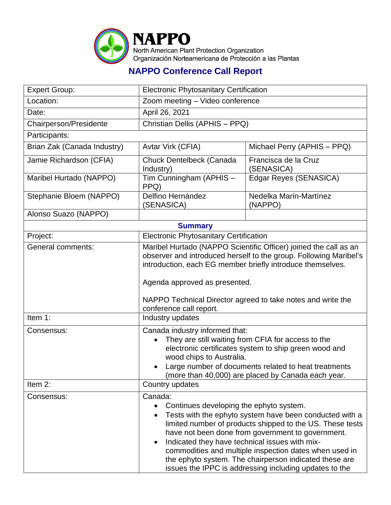

## **NAPPO Conference Call Report**

| <b>Expert Group:</b>        | <b>Electronic Phytosanitary Certification</b>                                                                                                                                                                                                                                                                                                                                                                                                                   |                                    |  |  |
|-----------------------------|-----------------------------------------------------------------------------------------------------------------------------------------------------------------------------------------------------------------------------------------------------------------------------------------------------------------------------------------------------------------------------------------------------------------------------------------------------------------|------------------------------------|--|--|
| Location:                   |                                                                                                                                                                                                                                                                                                                                                                                                                                                                 | Zoom meeting - Video conference    |  |  |
| Date:                       | April 26, 2021                                                                                                                                                                                                                                                                                                                                                                                                                                                  |                                    |  |  |
| Chairperson/Presidente      |                                                                                                                                                                                                                                                                                                                                                                                                                                                                 | Christian Dellis (APHIS - PPQ)     |  |  |
| Participants:               |                                                                                                                                                                                                                                                                                                                                                                                                                                                                 |                                    |  |  |
| Brian Zak (Canada Industry) | Avtar Virk (CFIA)                                                                                                                                                                                                                                                                                                                                                                                                                                               | Michael Perry (APHIS - PPQ)        |  |  |
| Jamie Richardson (CFIA)     | Chuck Dentelbeck (Canada<br>Industry)                                                                                                                                                                                                                                                                                                                                                                                                                           | Francisca de la Cruz<br>(SENASICA) |  |  |
| Maribel Hurtado (NAPPO)     | Tim Cunningham (APHIS $-$<br>PPQ)                                                                                                                                                                                                                                                                                                                                                                                                                               | Edgar Reyes (SENASICA)             |  |  |
| Stephanie Bloem (NAPPO)     | Delfino Hernández<br>(SENASICA)                                                                                                                                                                                                                                                                                                                                                                                                                                 | Nedelka Marín-Martínez<br>(NAPPO)  |  |  |
| Alonso Suazo (NAPPO)        |                                                                                                                                                                                                                                                                                                                                                                                                                                                                 |                                    |  |  |
| <b>Summary</b>              |                                                                                                                                                                                                                                                                                                                                                                                                                                                                 |                                    |  |  |
| Project:                    | <b>Electronic Phytosanitary Certification</b>                                                                                                                                                                                                                                                                                                                                                                                                                   |                                    |  |  |
| General comments:           | Maribel Hurtado (NAPPO Scientific Officer) joined the call as an<br>observer and introduced herself to the group. Following Maribel's<br>introduction, each EG member briefly introduce themselves.<br>Agenda approved as presented.<br>NAPPO Technical Director agreed to take notes and write the<br>conference call report.                                                                                                                                  |                                    |  |  |
| Item 1:                     | Industry updates                                                                                                                                                                                                                                                                                                                                                                                                                                                |                                    |  |  |
| Consensus:                  | Canada industry informed that:<br>They are still waiting from CFIA for access to the<br>electronic certificates system to ship green wood and<br>wood chips to Australia.<br>Large number of documents related to heat treatments<br>(more than 40,000) are placed by Canada each year.                                                                                                                                                                         |                                    |  |  |
| Item 2:                     | Country updates                                                                                                                                                                                                                                                                                                                                                                                                                                                 |                                    |  |  |
| Consensus:                  | Canada:<br>Continues developing the ephyto system.<br>Tests with the ephyto system have been conducted with a<br>limited number of products shipped to the US. These tests<br>have not been done from government to government.<br>Indicated they have technical issues with mix-<br>commodities and multiple inspection dates when used in<br>the ephyto system. The chairperson indicated these are<br>issues the IPPC is addressing including updates to the |                                    |  |  |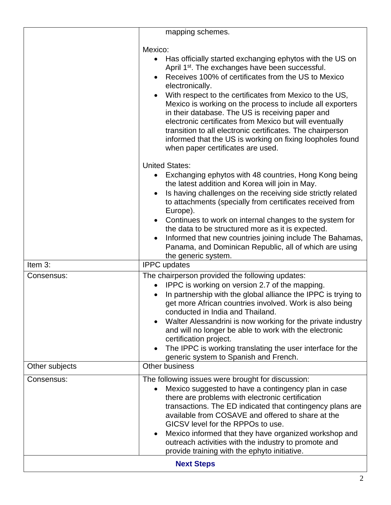|                   | mapping schemes.                                                                                                                                                                                                                                                                                                                                                                                                                                                                                                                                                                                                                 |  |
|-------------------|----------------------------------------------------------------------------------------------------------------------------------------------------------------------------------------------------------------------------------------------------------------------------------------------------------------------------------------------------------------------------------------------------------------------------------------------------------------------------------------------------------------------------------------------------------------------------------------------------------------------------------|--|
|                   | Mexico:<br>Has officially started exchanging ephytos with the US on<br>$\bullet$<br>April 1 <sup>st</sup> . The exchanges have been successful.<br>Receives 100% of certificates from the US to Mexico<br>electronically.<br>With respect to the certificates from Mexico to the US,<br>Mexico is working on the process to include all exporters<br>in their database. The US is receiving paper and<br>electronic certificates from Mexico but will eventually<br>transition to all electronic certificates. The chairperson<br>informed that the US is working on fixing loopholes found<br>when paper certificates are used. |  |
|                   | <b>United States:</b><br>Exchanging ephytos with 48 countries, Hong Kong being<br>the latest addition and Korea will join in May.<br>Is having challenges on the receiving side strictly related<br>to attachments (specially from certificates received from<br>Europe).<br>Continues to work on internal changes to the system for<br>the data to be structured more as it is expected.<br>Informed that new countries joining include The Bahamas,<br>Panama, and Dominican Republic, all of which are using<br>the generic system.                                                                                           |  |
| Item 3:           | <b>IPPC</b> updates                                                                                                                                                                                                                                                                                                                                                                                                                                                                                                                                                                                                              |  |
| Consensus:        | The chairperson provided the following updates:<br>IPPC is working on version 2.7 of the mapping.<br>$\bullet$<br>In partnership with the global alliance the IPPC is trying to<br>get more African countries involved. Work is also being<br>conducted in India and Thailand.<br>Walter Alessandrini is now working for the private industry<br>and will no longer be able to work with the electronic<br>certification project.<br>The IPPC is working translating the user interface for the<br>generic system to Spanish and French.                                                                                         |  |
| Other subjects    | <b>Other business</b>                                                                                                                                                                                                                                                                                                                                                                                                                                                                                                                                                                                                            |  |
| Consensus:        | The following issues were brought for discussion:<br>Mexico suggested to have a contingency plan in case<br>there are problems with electronic certification<br>transactions. The ED indicated that contingency plans are<br>available from COSAVE and offered to share at the<br>GICSV level for the RPPOs to use.<br>Mexico informed that they have organized workshop and<br>outreach activities with the industry to promote and<br>provide training with the ephyto initiative.                                                                                                                                             |  |
| <b>Next Steps</b> |                                                                                                                                                                                                                                                                                                                                                                                                                                                                                                                                                                                                                                  |  |